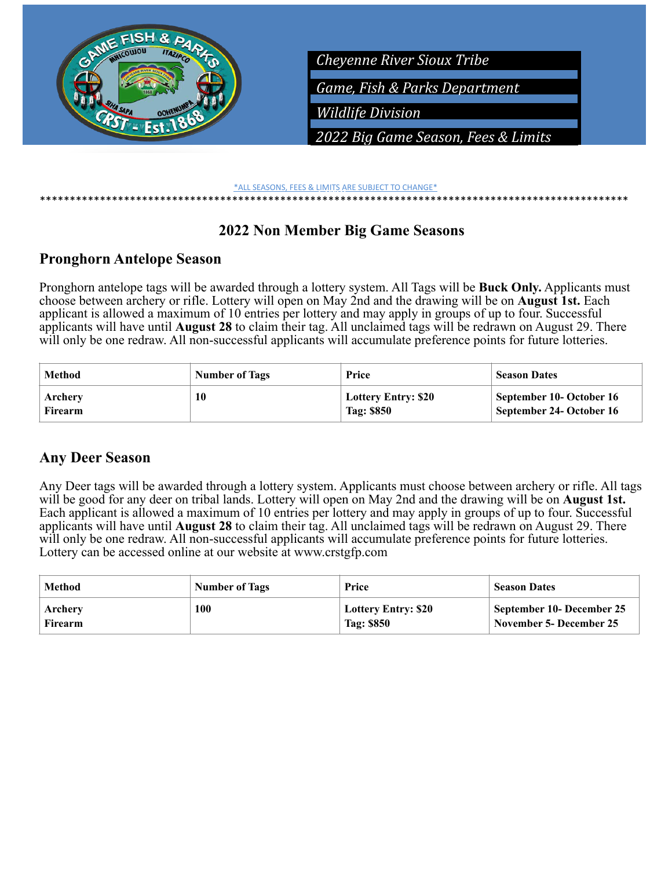

#### *Limit* \*ALL SEASONS, FEES & LIMITS ARE SUBJECT TO CHANGE\* \*\*\*\*\*\*\*\*\*\*\*\*\*\*\*\*\*\*\*\*\*\*\*\*\*\*\*\*\*\*\*\*\*\*\*

# **2022 Non Member Big Game Seasons**

# **Pronghorn Antelope Season**

Pronghorn antelope tags will be awarded through a lottery system. All Tags will be **Buck Only.** Applicants must choose between archery or rifle. Lottery will open on May 2nd and the drawing will be on **August 1st.** Each applicant is allowed a maximum of 10 entries per lottery and may apply in groups of up to four. Successful applicants will have until **August 28** to claim their tag. All unclaimed tags will be redrawn on August 29. There will only be one redraw. All non-successful applicants will accumulate preference points for future lotteries.

| Method  | <b>Number of Tags</b> | Price                      | <b>Season Dates</b>      |
|---------|-----------------------|----------------------------|--------------------------|
| Archery | 10                    | <b>Lottery Entry: \$20</b> | September 10- October 16 |
| Firearm |                       | Tag: \$850                 | September 24- October 16 |

# **Any Deer Season**

Any Deer tags will be awarded through a lottery system. Applicants must choose between archery or rifle. All tags will be good for any deer on tribal lands. Lottery will open on May 2nd and the drawing will be on **August 1st.**  Each applicant is allowed a maximum of 10 entries per lottery and may apply in groups of up to four. Successful applicants will have until **August 28** to claim their tag. All unclaimed tags will be redrawn on August 29. There will only be one redraw. All non-successful applicants will accumulate preference points for future lotteries. Lottery can be accessed online at our website at www.crstgfp.com

| Method  | <b>Number of Tags</b> | Price                      | <b>Season Dates</b>            |
|---------|-----------------------|----------------------------|--------------------------------|
| Archery | 100                   | <b>Lottery Entry: \$20</b> | September 10- December 25      |
| Firearm |                       | Tag: \$850                 | <b>November 5- December 25</b> |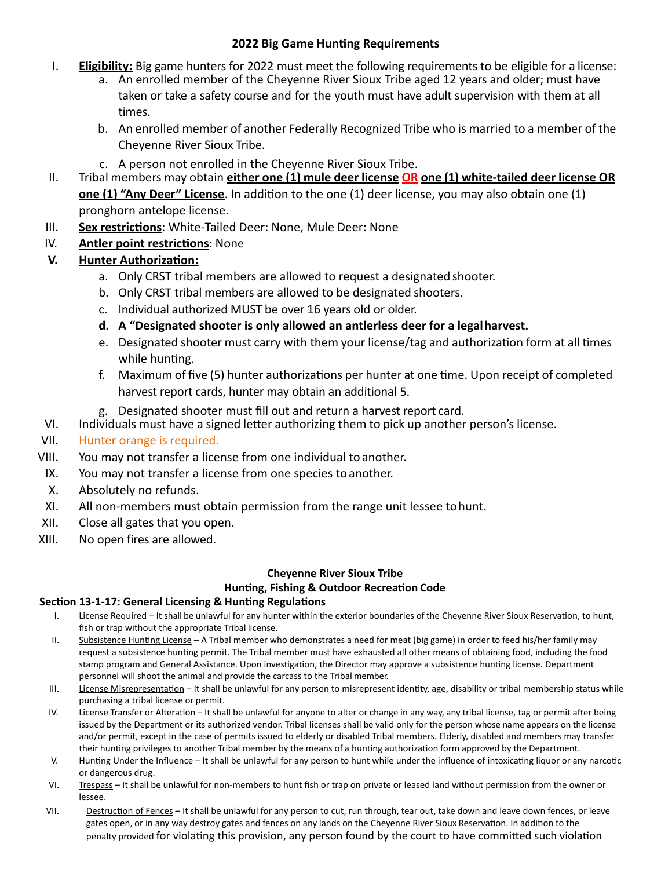#### **2022 Big Game Hunting Requirements**

- I. **Eligibility:** Big game hunters for 2022 must meet the following requirements to be eligible for a license:
	- a. An enrolled member of the Cheyenne River Sioux Tribe aged 12 years and older; must have taken or take a safety course and for the youth must have adult supervision with them at all times.
	- b. An enrolled member of another Federally Recognized Tribe who is married to a member of the Cheyenne River Sioux Tribe.
	- c. A person not enrolled in the Cheyenne River Sioux Tribe.
- II. Tribal members may obtain **either one (1) mule deer license OR one (1) white-tailed deer license OR one (1) "Any Deer" License**. In addition to the one (1) deer license, you may also obtain one (1) pronghorn antelope license.
- III. **Sex restrictions**: White-Tailed Deer: None, Mule Deer: None
- IV. **Antler point restrictions**: None

# **V. Hunter Authorization:**

- a. Only CRST tribal members are allowed to request a designated shooter.
- b. Only CRST tribal members are allowed to be designated shooters.
- c. Individual authorized MUST be over 16 years old or older.
- **d. A "Designated shooter is only allowed an antlerless deer for a legalharvest.**
- e. Designated shooter must carry with them your license/tag and authorization form at all times while hunting.
- f. Maximum of five (5) hunter authorizations per hunter at one time. Upon receipt of completed harvest report cards, hunter may obtain an additional 5.
- g. Designated shooter must fill out and return a harvest report card.
- VI. Individuals must have a signed letter authorizing them to pick up another person's license.

## VII. Hunter orange is required.

- VIII. You may not transfer a license from one individual to another.
- IX. You may not transfer a license from one species to another.
- X. Absolutely no refunds.
- XI. All non-members must obtain permission from the range unit lessee tohunt.
- XII. Close all gates that you open.
- XIII. No open fires are allowed.

### **Cheyenne River Sioux Tribe Hunting, Fishing & Outdoor Recreation Code**

#### **Section 13-1-17: General Licensing & Hunting Regulations**

- I. License Required It shall be unlawful for any hunter within the exterior boundaries of the Cheyenne River Sioux Reservation, to hunt, fish or trap without the appropriate Tribal license.
- II. Subsistence Hunting License A Tribal member who demonstrates a need for meat (big game) in order to feed his/her family may request a subsistence hunting permit. The Tribal member must have exhausted all other means of obtaining food, including the food stamp program and General Assistance. Upon investigation, the Director may approve a subsistence hunting license. Department personnel will shoot the animal and provide the carcass to the Tribal member.
- III. License Misrepresentation It shall be unlawful for any person to misrepresent identity, age, disability or tribal membership status while purchasing a tribal license or permit.
- IV. License Transfer or Alteration It shall be unlawful for anyone to alter or change in any way, any tribal license, tag or permit after being issued by the Department or its authorized vendor. Tribal licenses shall be valid only for the person whose name appears on the license and/or permit, except in the case of permits issued to elderly or disabled Tribal members. Elderly, disabled and members may transfer their hunting privileges to another Tribal member by the means of a hunting authorization form approved by the Department.
- V. Hunting Under the Influence It shall be unlawful for any person to hunt while under the influence of intoxicating liquor or any narcotic or dangerous drug.
- VI. Trespass It shall be unlawful for non-members to hunt fish or trap on private or leased land without permission from the owner or lessee.
- VII. Destruction of Fences It shall be unlawful for any person to cut, run through, tear out, take down and leave down fences, or leave gates open, or in any way destroy gates and fences on any lands on the Cheyenne River Sioux Reservation. In addition to the penalty provided for violating this provision, any person found by the court to have committed such violation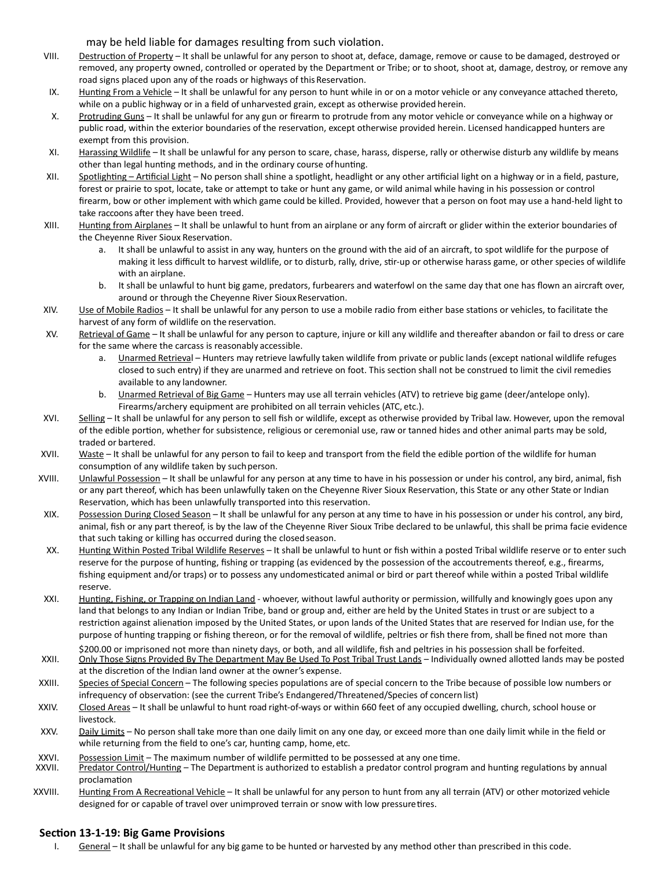may be held liable for damages resulting from such violation.

- VIII. Destruction of Property It shall be unlawful for any person to shoot at, deface, damage, remove or cause to be damaged, destroyed or removed, any property owned, controlled or operated by the Department or Tribe; or to shoot, shoot at, damage, destroy, or remove any road signs placed upon any of the roads or highways of this Reservation.
- IX. Hunting From a Vehicle It shall be unlawful for any person to hunt while in or on a motor vehicle or any conveyance attached thereto, while on a public highway or in a field of unharvested grain, except as otherwise provided herein.
- X. Protruding Guns It shall be unlawful for any gun or firearm to protrude from any motor vehicle or conveyance while on a highway or public road, within the exterior boundaries of the reservation, except otherwise provided herein. Licensed handicapped hunters are exempt from this provision.
- XI. Harassing Wildlife It shall be unlawful for any person to scare, chase, harass, disperse, rally or otherwise disturb any wildlife by means other than legal hunting methods, and in the ordinary course ofhunting.
- XII. Spotlighting Artificial Light No person shall shine a spotlight, headlight or any other artificial light on a highway or in a field, pasture, forest or prairie to spot, locate, take or attempt to take or hunt any game, or wild animal while having in his possession or control firearm, bow or other implement with which game could be killed. Provided, however that a person on foot may use a hand-held light to take raccoons after they have been treed.
- XIII. Hunting from Airplanes It shall be unlawful to hunt from an airplane or any form of aircraft or glider within the exterior boundaries of the Cheyenne River Sioux Reservation.
	- a. It shall be unlawful to assist in any way, hunters on the ground with the aid of an aircraft, to spot wildlife for the purpose of making it less difficult to harvest wildlife, or to disturb, rally, drive, stir-up or otherwise harass game, or other species of wildlife with an airplane.
	- b. It shall be unlawful to hunt big game, predators, furbearers and waterfowl on the same day that one has flown an aircraft over, around or through the Cheyenne River Sioux Reservation.
- XIV. Use of Mobile Radios It shall be unlawful for any person to use a mobile radio from either base stations or vehicles, to facilitate the harvest of any form of wildlife on the reservation.
- XV. Retrieval of Game It shall be unlawful for any person to capture, injure or kill any wildlife and thereafter abandon or fail to dress or care for the same where the carcass is reasonably accessible.
	- Unarmed Retrieval Hunters may retrieve lawfully taken wildlife from private or public lands (except national wildlife refuges closed to such entry) if they are unarmed and retrieve on foot. This section shall not be construed to limit the civil remedies available to any landowner.
	- b. Unarmed Retrieval of Big Game Hunters may use all terrain vehicles (ATV) to retrieve big game (deer/antelope only). Firearms/archery equipment are prohibited on all terrain vehicles (ATC, etc.).
- XVI. Selling It shall be unlawful for any person to sell fish or wildlife, except as otherwise provided by Tribal law. However, upon the removal of the edible portion, whether for subsistence, religious or ceremonial use, raw or tanned hides and other animal parts may be sold, traded or bartered.
- XVII. Waste It shall be unlawful for any person to fail to keep and transport from the field the edible portion of the wildlife for human consumption of any wildlife taken by such person.
- XVIII. Unlawful Possession It shall be unlawful for any person at any time to have in his possession or under his control, any bird, animal, fish or any part thereof, which has been unlawfully taken on the Cheyenne River Sioux Reservation, this State or any other State or Indian Reservation, which has been unlawfully transported into this reservation.
- XIX. Possession During Closed Season It shall be unlawful for any person at any time to have in his possession or under his control, any bird, animal, fish or any part thereof, is by the law of the Cheyenne River Sioux Tribe declared to be unlawful, this shall be prima facie evidence that such taking or killing has occurred during the closed season.
- XX. Hunting Within Posted Tribal Wildlife Reserves It shall be unlawful to hunt or fish within a posted Tribal wildlife reserve or to enter such reserve for the purpose of hunting, fishing or trapping (as evidenced by the possession of the accoutrements thereof, e.g., firearms, fishing equipment and/or traps) or to possess any undomesticated animal or bird or part thereof while within a posted Tribal wildlife reserve.
- XXI. Hunting, Fishing, or Trapping on Indian Land whoever, without lawful authority or permission, willfully and knowingly goes upon any land that belongs to any Indian or Indian Tribe, band or group and, either are held by the United States in trust or are subject to a restriction against alienation imposed by the United States, or upon lands of the United States that are reserved for Indian use, for the purpose of hunting trapping or fishing thereon, or for the removal of wildlife, peltries or fish there from, shall be fined not more than
- \$200.00 or imprisoned not more than ninety days, or both, and all wildlife, fish and peltries in his possession shall be forfeited. XXII. Only Those Signs Provided By The Department May Be Used To Post Tribal Trust Lands - Individually owned allotted lands may be posted at the discretion of the Indian land owner at the owner's expense.
- XXIII. Species of Special Concern The following species populations are of special concern to the Tribe because of possible low numbers or infrequency of observation: (see the current Tribe's Endangered/Threatened/Species of concern list)
- XXIV. Closed Areas It shall be unlawful to hunt road right-of-ways or within 660 feet of any occupied dwelling, church, school house or livestock.
- XXV. Daily Limits No person shall take more than one daily limit on any one day, or exceed more than one daily limit while in the field or while returning from the field to one's car, hunting camp, home, etc.
- 
- XXVI. Possession Limit The maximum number of wildlife permitted to be possessed at any one time.<br>XXVII. Predator Control/Hunting The Department is authorized to establish a predator control program and hunting regulati proclamation
- XXVIII. Hunting From A Recreational Vehicle It shall be unlawful for any person to hunt from any all terrain (ATV) or other motorized vehicle designed for or capable of travel over unimproved terrain or snow with low pressuretires.

#### **Section 13-1-19: Big Game Provisions**

I. General – It shall be unlawful for any big game to be hunted or harvested by any method other than prescribed in this code.